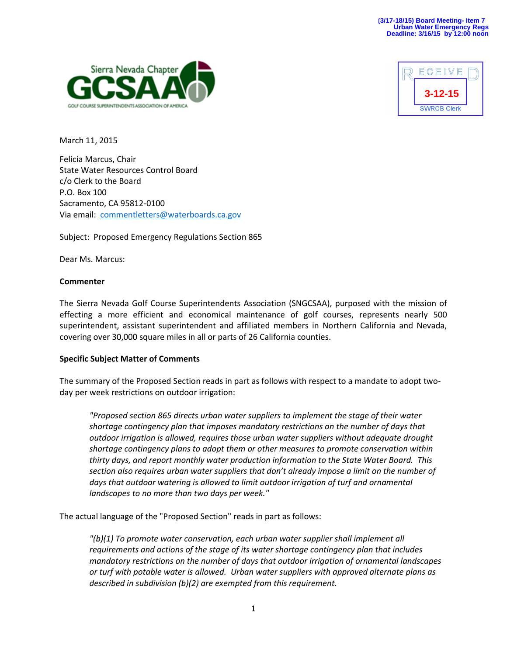



March 11, 2015

Felicia Marcus, Chair State Water Resources Control Board c/o Clerk to the Board P.O. Box 100 Sacramento, CA 95812-0100 Via email: [commentletters@waterboards.ca.gov](mailto:commentletters@waterboards.ca.gov)

Subject: Proposed Emergency Regulations Section 865

Dear Ms. Marcus:

### **Commenter**

The Sierra Nevada Golf Course Superintendents Association (SNGCSAA), purposed with the mission of effecting a more efficient and economical maintenance of golf courses, represents nearly 500 superintendent, assistant superintendent and affiliated members in Northern California and Nevada, covering over 30,000 square miles in all or parts of 26 California counties.

# **Specific Subject Matter of Comments**

The summary of the Proposed Section reads in part as follows with respect to a mandate to adopt twoday per week restrictions on outdoor irrigation:

*"Proposed section 865 directs urban water suppliers to implement the stage of their water shortage contingency plan that imposes mandatory restrictions on the number of days that outdoor irrigation is allowed, requires those urban water suppliers without adequate drought shortage contingency plans to adopt them or other measures to promote conservation within thirty days, and report monthly water production information to the State Water Board. This section also requires urban water suppliers that don't already impose a limit on the number of days that outdoor watering is allowed to limit outdoor irrigation of turf and ornamental landscapes to no more than two days per week."*

The actual language of the "Proposed Section" reads in part as follows:

*"(b)(1) To promote water conservation, each urban water supplier shall implement all requirements and actions of the stage of its water shortage contingency plan that includes mandatory restrictions on the number of days that outdoor irrigation of ornamental landscapes or turf with potable water is allowed. Urban water suppliers with approved alternate plans as described in subdivision (b)(2) are exempted from this requirement.*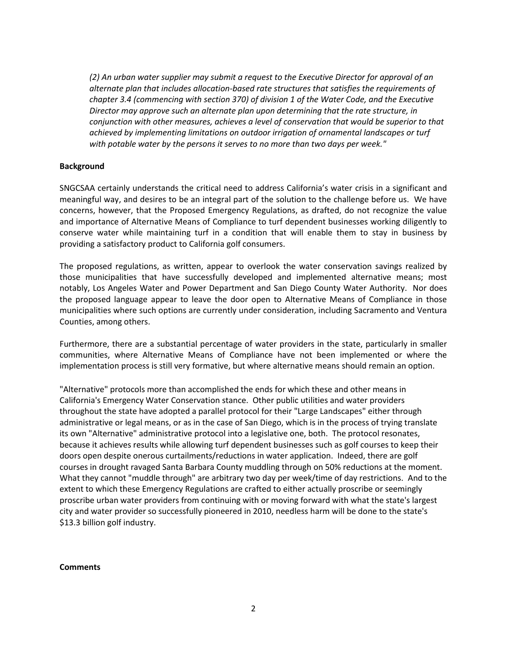*(2) An urban water supplier may submit a request to the Executive Director for approval of an alternate plan that includes allocation-based rate structures that satisfies the requirements of chapter 3.4 (commencing with section 370) of division 1 of the Water Code, and the Executive Director may approve such an alternate plan upon determining that the rate structure, in conjunction with other measures, achieves a level of conservation that would be superior to that achieved by implementing limitations on outdoor irrigation of ornamental landscapes or turf with potable water by the persons it serves to no more than two days per week."*

### **Background**

SNGCSAA certainly understands the critical need to address California's water crisis in a significant and meaningful way, and desires to be an integral part of the solution to the challenge before us. We have concerns, however, that the Proposed Emergency Regulations, as drafted, do not recognize the value and importance of Alternative Means of Compliance to turf dependent businesses working diligently to conserve water while maintaining turf in a condition that will enable them to stay in business by providing a satisfactory product to California golf consumers.

The proposed regulations, as written, appear to overlook the water conservation savings realized by those municipalities that have successfully developed and implemented alternative means; most notably, Los Angeles Water and Power Department and San Diego County Water Authority. Nor does the proposed language appear to leave the door open to Alternative Means of Compliance in those municipalities where such options are currently under consideration, including Sacramento and Ventura Counties, among others.

Furthermore, there are a substantial percentage of water providers in the state, particularly in smaller communities, where Alternative Means of Compliance have not been implemented or where the implementation process is still very formative, but where alternative means should remain an option.

"Alternative" protocols more than accomplished the ends for which these and other means in California's Emergency Water Conservation stance. Other public utilities and water providers throughout the state have adopted a parallel protocol for their "Large Landscapes" either through administrative or legal means, or as in the case of San Diego, which is in the process of trying translate its own "Alternative" administrative protocol into a legislative one, both. The protocol resonates, because it achieves results while allowing turf dependent businesses such as golf courses to keep their doors open despite onerous curtailments/reductions in water application. Indeed, there are golf courses in drought ravaged Santa Barbara County muddling through on 50% reductions at the moment. What they cannot "muddle through" are arbitrary two day per week/time of day restrictions. And to the extent to which these Emergency Regulations are crafted to either actually proscribe or seemingly proscribe urban water providers from continuing with or moving forward with what the state's largest city and water provider so successfully pioneered in 2010, needless harm will be done to the state's \$13.3 billion golf industry.

#### **Comments**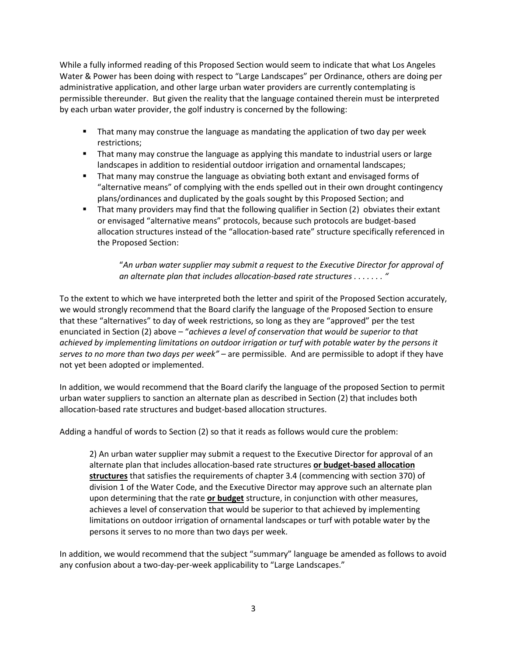While a fully informed reading of this Proposed Section would seem to indicate that what Los Angeles Water & Power has been doing with respect to "Large Landscapes" per Ordinance, others are doing per administrative application, and other large urban water providers are currently contemplating is permissible thereunder. But given the reality that the language contained therein must be interpreted by each urban water provider, the golf industry is concerned by the following:

- That many may construe the language as mandating the application of two day per week restrictions;
- **That many may construe the language as applying this mandate to industrial users or large** landscapes in addition to residential outdoor irrigation and ornamental landscapes;
- That many may construe the language as obviating both extant and envisaged forms of "alternative means" of complying with the ends spelled out in their own drought contingency plans/ordinances and duplicated by the goals sought by this Proposed Section; and
- **That many providers may find that the following qualifier in Section (2) obviates their extant** or envisaged "alternative means" protocols, because such protocols are budget-based allocation structures instead of the "allocation-based rate" structure specifically referenced in the Proposed Section:

"*An urban water supplier may submit a request to the Executive Director for approval of an alternate plan that includes allocation-based rate structures . . . . . . . "*

To the extent to which we have interpreted both the letter and spirit of the Proposed Section accurately, we would strongly recommend that the Board clarify the language of the Proposed Section to ensure that these "alternatives" to day of week restrictions, so long as they are "approved" per the test enunciated in Section (2) above – "*achieves a level of conservation that would be superior to that achieved by implementing limitations on outdoor irrigation or turf with potable water by the persons it serves to no more than two days per week" –* are permissible. And are permissible to adopt if they have not yet been adopted or implemented.

In addition, we would recommend that the Board clarify the language of the proposed Section to permit urban water suppliers to sanction an alternate plan as described in Section (2) that includes both allocation-based rate structures and budget-based allocation structures.

Adding a handful of words to Section (2) so that it reads as follows would cure the problem:

2) An urban water supplier may submit a request to the Executive Director for approval of an alternate plan that includes allocation-based rate structures **or budget-based allocation structures** that satisfies the requirements of chapter 3.4 (commencing with section 370) of division 1 of the Water Code, and the Executive Director may approve such an alternate plan upon determining that the rate **or budget** structure, in conjunction with other measures, achieves a level of conservation that would be superior to that achieved by implementing limitations on outdoor irrigation of ornamental landscapes or turf with potable water by the persons it serves to no more than two days per week.

In addition, we would recommend that the subject "summary" language be amended as follows to avoid any confusion about a two-day-per-week applicability to "Large Landscapes."